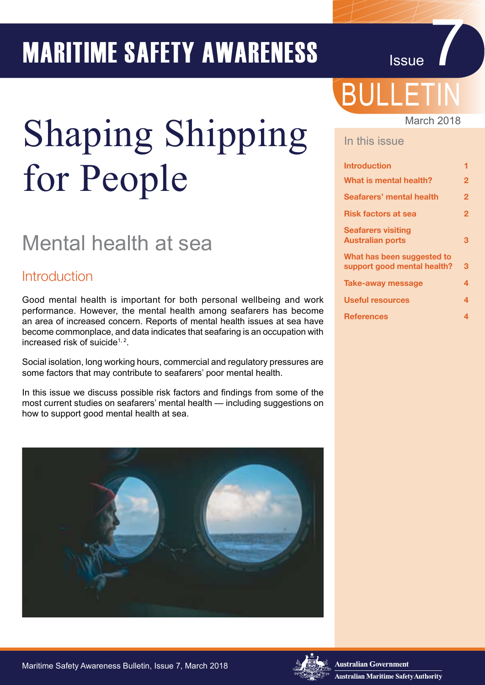# **MARITIME SAFETY AWARENESS**

# Shaping Shipping for People

# Mental health at sea

### **Introduction**

Good mental health is important for both personal wellbeing and work performance. However, the mental health among seafarers has become an area of increased concern. Reports of mental health issues at sea have become commonplace, and data indicates that seafaring is an occupation with increased risk of suicide<sup>1, 2</sup>.

Social isolation, long working hours, commercial and regulatory pressures are some factors that may contribute to seafarers' poor mental health.

In this issue we discuss possible risk factors and findings from some of the most current studies on seafarers' mental health — including suggestions on how to support good mental health at sea.



# BULLETIN

#### March 2018

#### In this issue

| <b>Introduction</b>                                       | 1            |
|-----------------------------------------------------------|--------------|
| What is mental health?                                    | $\mathbf{2}$ |
| Seafarers' mental health                                  | $\mathbf{2}$ |
| <b>Risk factors at sea</b>                                | $\mathbf{2}$ |
| <b>Seafarers visiting</b><br><b>Australian ports</b>      | З            |
| What has been suggested to<br>support good mental health? | 3            |
| <b>Take-away message</b>                                  | 4            |
| <b>Useful resources</b>                                   | 4            |
| <b>References</b>                                         | 4            |

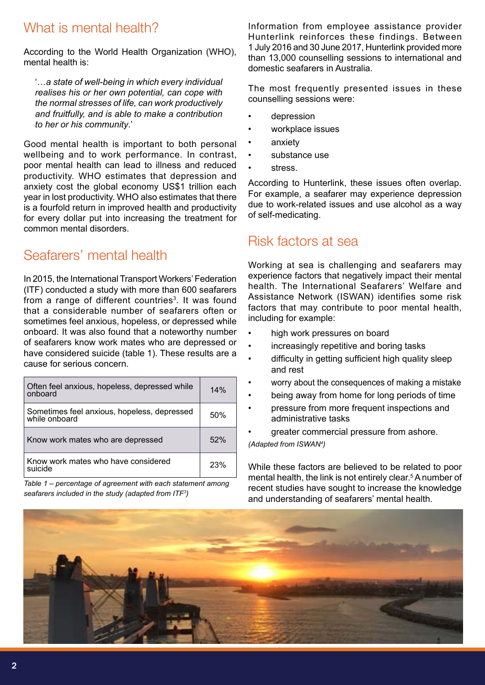# What is mental health?

According to the World Health Organization (WHO), mental health is:

'…*a state of well-being in which every individual realises his or her own potential, can cope with the normal stresses of life, can work productively and fruitfully, and is able to make a contribution to her or his community*.'

Good mental health is important to both personal wellbeing and to work performance. In contrast, poor mental health can lead to illness and reduced productivity. WHO estimates that depression and anxiety cost the global economy US\$1 trillion each year in lost productivity. WHO also estimates that there is a fourfold return in improved health and productivity for every dollar put into increasing the treatment for common mental disorders.

# Seafarers' mental health

In 2015, the International Transport Workers' Federation (ITF) conducted a study with more than 600 seafarers from a range of different countries<sup>3</sup>. It was found that a considerable number of seafarers often or sometimes feel anxious, hopeless, or depressed while onboard. It was also found that a noteworthy number of seafarers know work mates who are depressed or have considered suicide (table 1). These results are a cause for serious concern.

| Often feel anxious, hopeless, depressed while<br>onboard     | 14%        |
|--------------------------------------------------------------|------------|
| Sometimes feel anxious, hopeless, depressed<br>while onboard | 50%        |
| Know work mates who are depressed                            | 52%        |
| Know work mates who have considered<br>suicide               | <b>23%</b> |

*Table 1 – percentage of agreement with each statement among seafarers included in the study (adapted from ITF3 )*

Information from employee assistance provider Hunterlink reinforces these findings. Between 1 July 2016 and 30 June 2017, Hunterlink provided more than 13,000 counselling sessions to international and domestic seafarers in Australia.

The most frequently presented issues in these counselling sessions were:

- depression
- workplace issues
- anxiety
- substance use
- stress.

According to Hunterlink, these issues often overlap. For example, a seafarer may experience depression due to work-related issues and use alcohol as a way of self-medicating.

### Risk factors at sea

Working at sea is challenging and seafarers may experience factors that negatively impact their mental health. The International Seafarers' Welfare and Assistance Network (ISWAN) identifies some risk factors that may contribute to poor mental health, including for example:

- high work pressures on board
- increasingly repetitive and boring tasks
- difficulty in getting sufficient high quality sleep and rest
- worry about the consequences of making a mistake
- being away from home for long periods of time
- pressure from more frequent inspections and administrative tasks
- greater commercial pressure from ashore.

*(Adapted from ISWAN4 )*

While these factors are believed to be related to poor mental health, the link is not entirely clear.<sup>5</sup> A number of recent studies have sought to increase the knowledge and understanding of seafarers' mental health.

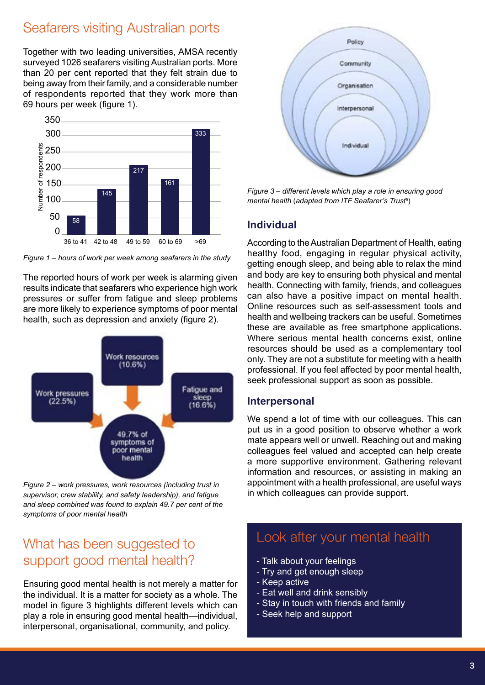# Seafarers visiting Australian ports

Together with two leading universities, AMSA recently surveyed 1026 seafarers visiting Australian ports. More than 20 per cent reported that they felt strain due to being away from their family, and a considerable number of respondents reported that they work more than 69 hours per week (figure 1).



*Figure 1 – hours of work per week among seafarers in the study*

The reported hours of work per week is alarming given results indicate that seafarers who experience high work pressures or suffer from fatigue and sleep problems are more likely to experience symptoms of poor mental health, such as depression and anxiety (figure 2).



*Figure 2 – work pressures, work resources (including trust in supervisor, crew stability, and safety leadership), and fatigue and sleep combined was found to explain 49.7 per cent of the symptoms of poor mental health*

# What has been suggested to support good mental health?

Ensuring good mental health is not merely a matter for the individual. It is a matter for society as a whole. The model in figure 3 highlights different levels which can play a role in ensuring good mental health—individual, interpersonal, organisational, community, and policy.



*Figure 3 – different levels which play a role in ensuring good mental health* (*adapted from ITF Seafarer's Trust6* )

#### **Individual**

According to the Australian Department of Health, eating healthy food, engaging in regular physical activity, getting enough sleep, and being able to relax the mind and body are key to ensuring both physical and mental health. Connecting with family, friends, and colleagues can also have a positive impact on mental health. Online resources such as self-assessment tools and health and wellbeing trackers can be useful. Sometimes these are available as free smartphone applications. Where serious mental health concerns exist, online resources should be used as a complementary tool only. They are not a substitute for meeting with a health professional. If you feel affected by poor mental health, seek professional support as soon as possible.

#### **Interpersonal**

We spend a lot of time with our colleagues. This can put us in a good position to observe whether a work mate appears well or unwell. Reaching out and making colleagues feel valued and accepted can help create a more supportive environment. Gathering relevant information and resources, or assisting in making an appointment with a health professional, are useful ways in which colleagues can provide support.

# Look after your mental health

- Talk about your feelings
- Try and get enough sleep
- Keep active
- Eat well and drink sensibly
- Stay in touch with friends and family
- Seek help and support